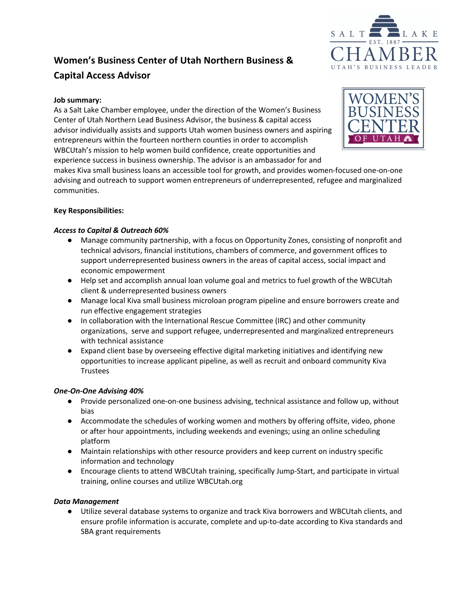

# **Women's Business Center of Utah Northern Business & Capital Access Advisor**

## **Job summary:**

As a Salt Lake Chamber employee, under the direction of the Women's Business Center of Utah Northern Lead Business Advisor, the business & capital access advisor individually assists and supports Utah women business owners and aspiring entrepreneurs within the fourteen northern counties in order to accomplish WBCUtah's mission to help women build confidence, create opportunities and experience success in business ownership. The advisor is an ambassador for and



makes Kiva small business loans an accessible tool for growth, and provides women-focused one-on-one advising and outreach to support women entrepreneurs of underrepresented, refugee and marginalized communities.

## **Key Responsibilities:**

## *Access to Capital & Outreach 60%*

- Manage community partnership, with a focus on Opportunity Zones, consisting of nonprofit and technical advisors, financial institutions, chambers of commerce, and government offices to support underrepresented business owners in the areas of capital access, social impact and economic empowerment
- Help set and accomplish annual loan volume goal and metrics to fuel growth of the WBCUtah client & underrepresented business owners
- Manage local Kiva small business microloan program pipeline and ensure borrowers create and run effective engagement strategies
- In collaboration with the International Rescue Committee (IRC) and other community organizations, serve and support refugee, underrepresented and marginalized entrepreneurs with technical assistance
- Expand client base by overseeing effective digital marketing initiatives and identifying new opportunities to increase applicant pipeline, as well as recruit and onboard community Kiva **Trustees**

#### *One-On-One Advising 40%*

- Provide personalized one-on-one business advising, technical assistance and follow up, without bias
- Accommodate the schedules of working women and mothers by offering offsite, video, phone or after hour appointments, including weekends and evenings; using an online scheduling platform
- Maintain relationships with other resource providers and keep current on industry specific information and technology
- Encourage clients to attend WBCUtah training, specifically Jump-Start, and participate in virtual training, online courses and utilize WBCUtah.org

#### *Data Management*

● Utilize several database systems to organize and track Kiva borrowers and WBCUtah clients, and ensure profile information is accurate, complete and up-to-date according to Kiva standards and SBA grant requirements